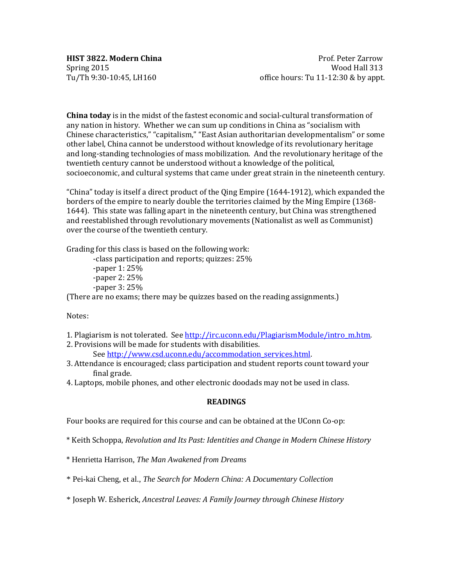**China today** is in the midst of the fastest economic and social-cultural transformation of any nation in history. Whether we can sum up conditions in China as "socialism with Chinese characteristics," "capitalism," "East Asian authoritarian developmentalism" or some other label, China cannot be understood without knowledge of its revolutionary heritage and long-standing technologies of mass mobilization. And the revolutionary heritage of the twentieth century cannot be understood without a knowledge of the political, socioeconomic, and cultural systems that came under great strain in the nineteenth century.

"China" today is itself a direct product of the Qing Empire (1644-1912), which expanded the borders of the empire to nearly double the territories claimed by the Ming Empire (1368- 1644). This state was falling apart in the nineteenth century, but China was strengthened and reestablished through revolutionary movements (Nationalist as well as Communist) over the course of the twentieth century.

Grading for this class is based on the following work:

-class participation and reports; quizzes: 25%

-paper 1: 25% -paper 2: 25% -paper 3: 25%

(There are no exams; there may be quizzes based on the reading assignments.)

Notes:

- 1. Plagiarism is not tolerated. See [http://irc.uconn.edu/PlagiarismModule/intro\\_m.htm.](http://irc.uconn.edu/PlagiarismModule/intro_m.htm)
- 2. Provisions will be made for students with disabilities.

Se[e http://www.csd.uconn.edu/accommodation\\_services.html.](http://www.csd.uconn.edu/accommodation_services.html)

- 3. Attendance is encouraged; class participation and student reports count toward your final grade.
- 4. Laptops, mobile phones, and other electronic doodads may not be used in class.

### **READINGS**

Four books are required for this course and can be obtained at the UConn Co-op:

\* Keith Schoppa, *Revolution and Its Past: Identities and Change in Modern Chinese History*

- \* Henrietta Harrison, *The Man Awakened from Dreams*
- \* Pei-kai Cheng, et al., *The Search for Modern China: A Documentary Collection*

\* Joseph W. Esherick, *Ancestral Leaves: A Family Journey through Chinese History*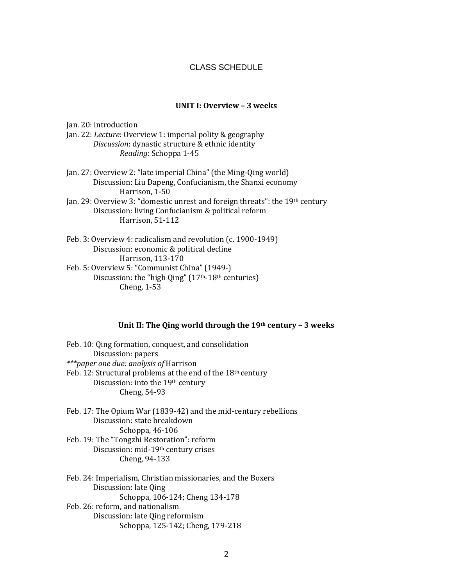## CLASS SCHEDULE

## **UNIT I: Overview – 3 weeks**

Jan. 20: introduction Jan. 22: *Lecture*: Overview 1: imperial polity & geography *Discussion*: dynastic structure & ethnic identity *Reading*: Schoppa 1-45

- Jan. 27: Overview 2: "late imperial China" (the Ming-Qing world) Discussion: Liu Dapeng, Confucianism, the Shanxi economy Harrison, 1-50
- Jan. 29: Overview 3: "domestic unrest and foreign threats": the 19th century Discussion: living Confucianism & political reform Harrison, 51-112
- Feb. 3: Overview 4: radicalism and revolution (c. 1900-1949) Discussion: economic & political decline Harrison, 113-170 Feb. 5: Overview 5: "Communist China" (1949-) Discussion: the "high Qing" (17<sup>th</sup>-18<sup>th</sup> centuries)

Cheng, 1-53

### **Unit II: The Qing world through the 19th century – 3 weeks**

Feb. 10: Qing formation, conquest, and consolidation Discussion: papers *\*\*\*paper one due: analysis of* Harrison Feb. 12: Structural problems at the end of the 18th century Discussion: into the 19th century Cheng, 54-93

Feb. 17: The Opium War (1839-42) and the mid-century rebellions Discussion: state breakdown Schoppa, 46-106 Feb. 19: The "Tongzhi Restoration": reform

Discussion: mid-19th century crises Cheng, 94-133

Feb. 24: Imperialism, Christian missionaries, and the Boxers Discussion: late Qing Schoppa, 106-124; Cheng 134-178 Feb. 26: reform, and nationalism Discussion: late Qing reformism Schoppa, 125-142; Cheng, 179-218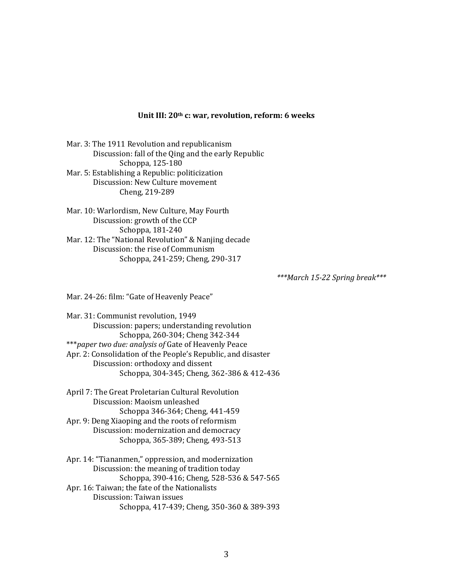#### **Unit III: 20th c: war, revolution, reform: 6 weeks**

Mar. 3: The 1911 Revolution and republicanism Discussion: fall of the Qing and the early Republic Schoppa, 125-180 Mar. 5: Establishing a Republic: politicization Discussion: New Culture movement Cheng, 219-289

Mar. 10: Warlordism, New Culture, May Fourth Discussion: growth of the CCP Schoppa, 181-240 Mar. 12: The "National Revolution" & Nanjing decade Discussion: the rise of Communism Schoppa, 241-259; Cheng, 290-317

*\*\*\*March 15-22 Spring break\*\*\**

Mar. 24-26: film: "Gate of Heavenly Peace"

Mar. 31: Communist revolution, 1949 Discussion: papers; understanding revolution Schoppa, 260-304; Cheng 342-344 \*\*\**paper two due: analysis of* Gate of Heavenly Peace Apr. 2: Consolidation of the People's Republic, and disaster Discussion: orthodoxy and dissent Schoppa, 304-345; Cheng, 362-386 & 412-436

April 7: The Great Proletarian Cultural Revolution Discussion: Maoism unleashed Schoppa 346-364; Cheng, 441-459 Apr. 9: Deng Xiaoping and the roots of reformism Discussion: modernization and democracy Schoppa, 365-389; Cheng, 493-513

Apr. 14: "Tiananmen," oppression, and modernization Discussion: the meaning of tradition today Schoppa, 390-416; Cheng, 528-536 & 547-565 Apr. 16: Taiwan; the fate of the Nationalists Discussion: Taiwan issues Schoppa, 417-439; Cheng, 350-360 & 389-393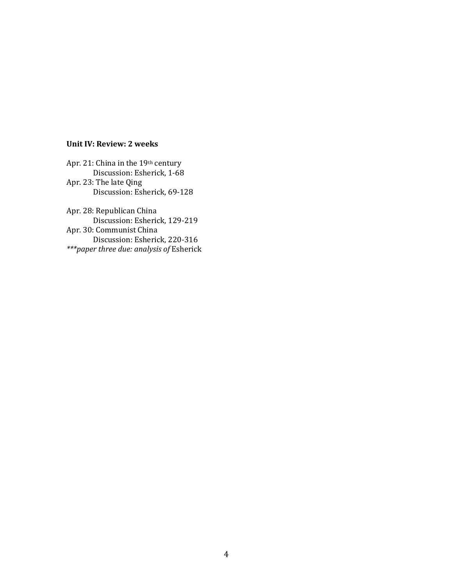# **Unit IV: Review: 2 weeks**

Apr. 21: China in the 19th century Discussion: Esherick, 1-68 Apr. 23: The late Qing Discussion: Esherick, 69-128

Apr. 28: Republican China Discussion: Esherick, 129-219 Apr. 30: Communist China Discussion: Esherick, 220-316 *\*\*\*paper three due: analysis of* Esherick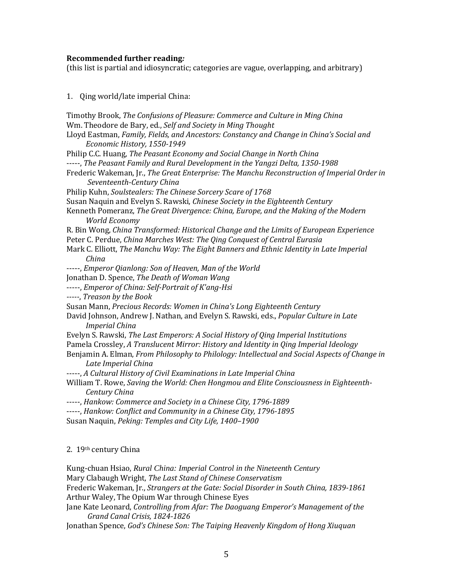## **Recommended further reading***:*

(this list is partial and idiosyncratic; categories are vague, overlapping, and arbitrary)

## 1. Qing world/late imperial China:

Timothy Brook, *The Confusions of Pleasure: Commerce and Culture in Ming China* Wm. Theodore de Bary, ed., *Self and Society in Ming Thought* Lloyd Eastman, *Family, Fields, and Ancestors: Constancy and Change in China's Social and Economic History, 1550-1949* Philip C.C. Huang, *The Peasant Economy and Social Change in North China* -----, *The Peasant Family and Rural Development in the Yangzi Delta, 1350-1988* Frederic Wakeman, Jr., *The Great Enterprise: The Manchu Reconstruction of Imperial Order in Seventeenth-Century China* Philip Kuhn, *Soulstealers: The Chinese Sorcery Scare of 1768* Susan Naquin and Evelyn S. Rawski, *Chinese Society in the Eighteenth Century* Kenneth Pomeranz, *The Great Divergence: China, Europe, and the Making of the Modern World Economy* R. Bin Wong, *China Transformed: Historical Change and the Limits of European Experience* Peter C. Perdue, *China Marches West: The Qing Conquest of Central Eurasia* Mark C. Elliott, *The Manchu Way: The Eight Banners and Ethnic Identity in Late Imperial China* -----, *Emperor Qianlong: Son of Heaven, Man of the World* Jonathan D. Spence, *The Death of Woman Wang* -----, *Emperor of China: Self-Portrait of K'ang-Hsi -----*, *Treason by the Book* Susan Mann, *Precious Records: Women in China's Long Eighteenth Century* David Johnson, Andrew J. Nathan, and Evelyn S. Rawski, eds., *Popular Culture in Late Imperial China* Evelyn S. Rawski, *The Last Emperors: A Social History of Qing Imperial Institutions* Pamela Crossley, *A Translucent Mirror: History and Identity in Qing Imperial Ideology* Benjamin A. Elman, *From Philosophy to Philology: Intellectual and Social Aspects of Change in Late Imperial China* -----, *A Cultural History of Civil Examinations in Late Imperial China* William T. Rowe, *Saving the World: Chen Hongmou and Elite Consciousness in Eighteenth-Century China* -----, *Hankow: Commerce and Society in a Chinese City, 1796-1889* -----, *Hankow: Conflict and Community in a Chinese City, 1796-1895* Susan Naquin, *Peking: Temples and City Life, 1400–1900* 2. 19th century China

Kung-chuan Hsiao, *Rural China: Imperial Control in the Nineteenth Century* Mary Clabaugh Wright, *The Last Stand of Chinese Conservatism* Frederic Wakeman, Jr., *Strangers at the Gate: Social Disorder in South China, 1839-1861* Arthur Waley, The Opium War through Chinese Eyes Jane Kate Leonard, *Controlling from Afar: The Daoguang Emperor's Management of the Grand Canal Crisis, 1824-1826*

Jonathan Spence, *God's Chinese Son: The Taiping Heavenly Kingdom of Hong Xiuquan*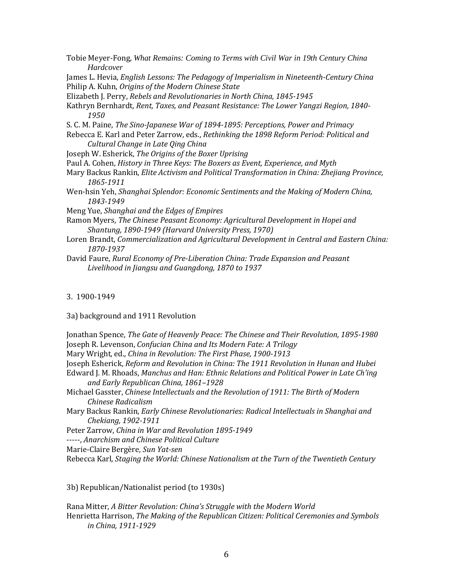- Tobie Meyer-Fong, *What Remains: Coming to Terms with Civil War in 19th Century China Hardcover*
- James L. Hevia, *English Lessons: The Pedagogy of Imperialism in Nineteenth-Century China* Philip A. Kuhn, *Origins of the Modern Chinese State*
- Elizabeth J. Perry, *Rebels and Revolutionaries in North China, 1845-1945*
- Kathryn Bernhardt, *Rent, Taxes, and Peasant Resistance: The Lower Yangzi Region, 1840- 1950*
- S. C. M. Paine, *The Sino-Japanese War of 1894-1895: Perceptions, Power and Primacy*
- Rebecca E. Karl and Peter Zarrow, eds., *Rethinking the 1898 Reform Period: Political and Cultural Change in Late Qing China*
- Joseph W. Esherick, *The Origins of the Boxer Uprising*
- Paul A. Cohen, *History in Three Keys: The Boxers as Event, Experience, and Myth*
- Mary Backus Rankin, *Elite Activism and Political Transformation in China: Zhejiang Province, 1865-1911*
- Wen-hsin Yeh, *Shanghai Splendor: Economic Sentiments and the Making of Modern China, 1843-1949*
- Meng Yue, *Shanghai and the Edges of Empires*
- Ramon Myers, *The Chinese Peasant Economy: Agricultural Development in Hopei and Shantung, 1890-1949 (Harvard University Press, 1970)*
- Loren Brandt, *Commercialization and Agricultural Development in Central and Eastern China: 1870-1937*
- David Faure, *Rural Economy of Pre-Liberation China: Trade Expansion and Peasant Livelihood in Jiangsu and Guangdong, 1870 to 1937*

3. 1900-1949

3a) background and 1911 Revolution

Jonathan Spence, *The Gate of Heavenly Peace: The Chinese and Their Revolution, 1895-1980* Joseph R. Levenson, *Confucian China and Its Modern Fate: A Trilogy*

Mary Wright, ed., *China in Revolution: The First Phase, 1900-1913*

- Joseph Esherick, *Reform and Revolution in China: The 1911 Revolution in Hunan and Hubei* Edward J. M. Rhoads, *Manchus and Han: Ethnic Relations and Political Power in Late Ch'ing* 
	- *and Early Republican China, 1861–1928*
- Michael Gasster, *Chinese Intellectuals and the Revolution of 1911: The Birth of Modern Chinese Radicalism*
- Mary Backus Rankin, *Early Chinese Revolutionaries: Radical Intellectuals in Shanghai and Chekiang, 1902-1911*
- Peter Zarrow, *China in War and Revolution 1895-1949*

-----, *Anarchism and Chinese Political Culture*

Marie-Claire Bergère, *Sun Yat-sen*

Rebecca Karl, *Staging the World: Chinese Nationalism at the Turn of the Twentieth Century*

3b) Republican/Nationalist period (to 1930s)

Rana Mitter, *A Bitter Revolution: China's Struggle with the Modern World* Henrietta Harrison, *The Making of the Republican Citizen: Political Ceremonies and Symbols in China, 1911-1929*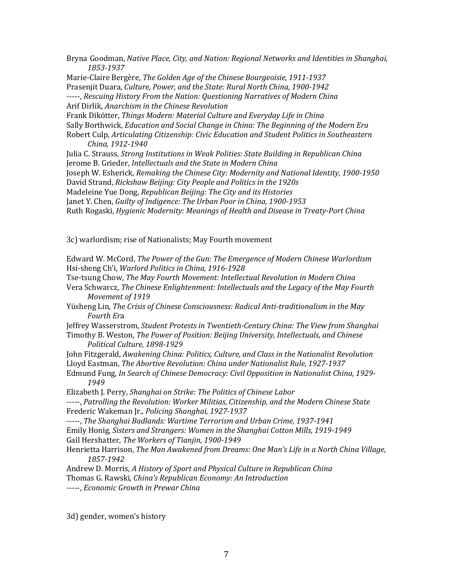Bryna Goodman, *Native Place, City, and Nation: Regional Networks and Identities in Shanghai, 1853-1937* 

Marie-Claire Bergère, *The Golden Age of the Chinese Bourgeoisie, 1911-1937* Prasenjit Duara, *Culture, Power, and the State: Rural North China, 1900-1942*  -----, *Rescuing History From the Nation: Questioning Narratives of Modern China* Arif Dirlik, *Anarchism in the Chinese Revolution* Frank Dikötter, *Things Modern: Material Culture and Everyday Life in China* Sally Borthwick, *Education and Social Change in China: The Beginning of the Modern Era* Robert Culp, *Articulating Citizenship: Civic Education and Student Politics in Southeastern China, 1912-1940* Julia C. Strauss, *Strong Institutions in Weak Polities: State Building in Republican China* Jerome B. Grieder, *Intellectuals and the State in Modern China*

Joseph W. Esherick, *Remaking the Chinese City: Modernity and National Identity, 1900-1950*

David Strand, *Rickshaw Beijing: City People and Politics in the 1920s* 

Madeleine Yue Dong, *Republican Beijing: The City and its Histories*

Janet Y. Chen, *Guilty of Indigence: The Urban Poor in China, 1900-1953*

Ruth Rogaski, *Hygienic Modernity: Meanings of Health and Disease in Treaty-Port China*

3c) warlordism; rise of Nationalists; May Fourth movement

Edward W. McCord, *The Power of the Gun: The Emergence of Modern Chinese Warlordism* Hsi-sheng Ch'i, *Warlord Politics in China, 1916-1928*

Tse-tsung Chow, *The May Fourth Movement: Intellectual Revolution in Modern China* 

Vera Schwarcz, *The Chinese Enlightenment: Intellectuals and the Legacy of the May Fourth Movement of 1919*

Yüsheng Lin, *The Crisis of Chinese Consciousness: Radical Anti-traditionalism in the May Fourth Er*a

Jeffrey Wasserstrom, *Student Protests in Twentieth-Century China: The View from Shanghai* Timothy B. Weston, *The Power of Position: Beijing University, Intellectuals, and Chinese Political Culture, 1898-1929*

John Fitzgerald, *Awakening China: Politics, Culture, and Class in the Nationalist Revolution* Lloyd Eastman, *The Abortive Revolution: China under Nationalist Rule, 1927-1937*

Edmund Fung, *In Search of Chinese Democracy: Civil Opposition in Nationalist China, 1929- 1949*

Elizabeth J. Perry, *Shanghai on Strike: The Politics of Chinese Labor*

-----, *Patrolling the Revolution: Worker Militias, Citizenship, and the Modern Chinese State* Frederic Wakeman Jr., *Policing Shanghai, 1927-1937*

-----, *The Shanghai Badlands: Wartime Terrorism and Urban Crime, 1937-1941*

Emily Honig, *Sisters and Strangers: Women in the Shanghai Cotton Mills, 1919-1949*

Gail Hershatter, *The Workers of Tianjin, 1900-1949*

Henrietta Harrison, *The Man Awakened from Dreams: One Man's Life in a North China Village, 1857-1942*

Andrew D. Morris, *A History of Sport and Physical Culture in Republican China* Thomas G. Rawski, *China's Republican Economy: An Introduction*

-----, *Economic Growth in Prewar China* 

3d) gender, women's history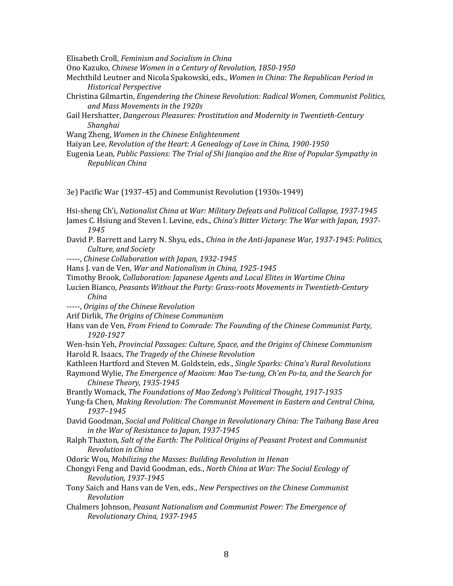Elisabeth Croll, *Feminism and Socialism in China* 

Ono Kazuko, *Chinese Women in a Century of Revolution, 1850-1950*

- Mechthild Leutner and Nicola Spakowski, eds., *Women in China: The Republican Period in Historical Perspective*
- Christina Gilmartin, *Engendering the Chinese Revolution: Radical Women, Communist Politics, and Mass Movements in the 1920s*
- Gail Hershatter, *Dangerous Pleasures: Prostitution and Modernity in Twentieth-Century Shanghai*
- Wang Zheng, *Women in the Chinese Enlightenment*
- Haiyan Lee, *Revolution of the Heart: A Genealogy of Love in China, 1900-1950*
- Eugenia Lean, *Public Passions: The Trial of Shi Jianqiao and the Rise of Popular Sympathy in Republican China*

3e) Pacific War (1937-45) and Communist Revolution (1930s-1949)

Hsi-sheng Ch'i, *Nationalist China at War: Military Defeats and Political Collapse, 1937-1945* James C. Hsiung and Steven I. Levine, eds., *China's Bitter Victory: The War with Japan, 1937-*

- *1945*
- David P. Barrett and Larry N. Shyu, eds., *China in the Anti-Japanese War, 1937-1945: Politics, Culture, and Society*
- -----, *Chinese Collaboration with Japan, 1932-1945*
- Hans J. van de Ven, *War and Nationalism in China, 1925-1945*
- Timothy Brook, *Collaboration: Japanese Agents and Local Elites in Wartime China*
- Lucien Bianco, *Peasants Without the Party: Grass-roots Movements in Twentieth-Century China*
- -----, *Origins of the Chinese Revolution*
- Arif Dirlik, *The Origins of Chinese Communism*
- Hans van de Ven, *From Friend to Comrade: The Founding of the Chinese Communist Party, 1920-1927*
- Wen-hsin Yeh, *Provincial Passages: Culture, Space, and the Origins of Chinese Communism* Harold R. Isaacs, *The Tragedy of the Chinese Revolution*
- Kathleen Hartford and Steven M. Goldstein, eds., *Single Sparks: China's Rural Revolutions*
- Raymond Wylie, *The Emergence of Maoism: Mao Tse-tung, Ch'en Po-ta, and the Search for Chinese Theory, 1935-1945*
- Brantly Womack, *The Foundations of Mao Zedong's Political Thought, 1917-1935*
- Yung-fa Chen, *Making Revolution: The Communist Movement in Eastern and Central China, 1937–1945*
- David Goodman, *Social and Political Change in Revolutionary China: The Taihang Base Area in the War of Resistance to Japan, 1937-1945*
- Ralph Thaxton, *Salt of the Earth: The Political Origins of Peasant Protest and Communist Revolution in China*

Odoric Wou, *Mobilizing the Masses: Building Revolution in Henan*

- Chongyi Feng and David Goodman, eds., *North China at War: The Social Ecology of Revolution, 1937-1945*
- Tony Saich and Hans van de Ven, eds., *New Perspectives on the Chinese Communist Revolution*
- Chalmers Johnson, *Peasant Nationalism and Communist Power: The Emergence of Revolutionary China, 1937-1945*